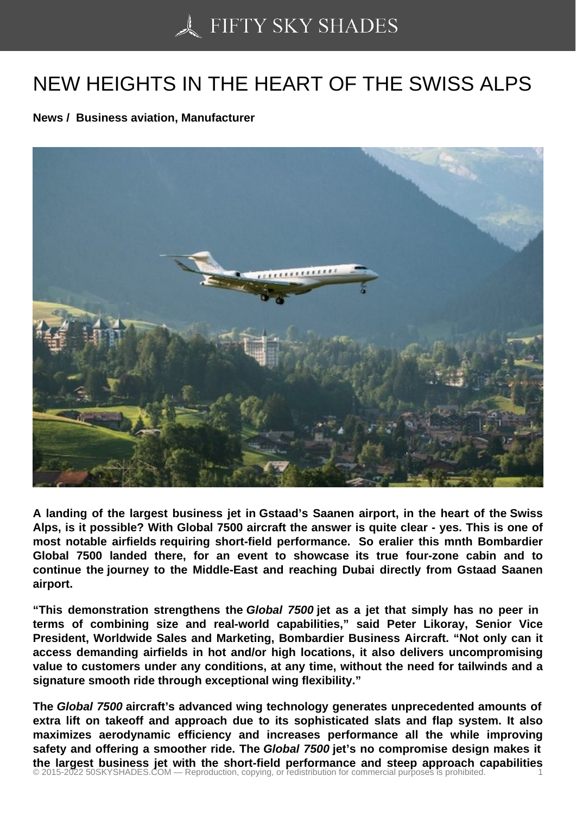## [NEW HEIGHTS IN THE](https://50skyshades.com) HEART OF THE SWISS ALPS

News / Business aviation, Manufacturer

A landing of the largest business jet in Gstaad's Saanen airport, in the heart of the Swiss Alps, is it possible? With Global 7500 aircraft the answer is quite clear - yes. This is one of most notable airfields requiring short-field performance. So eralier this mnth Bombardier Global 7500 landed there, for an event to showcase its true four-zone cabin and to continue the journey to the Middle-East and reaching Dubai directly from Gstaad Saanen airport.

"This demonstration strengthens the Global 7500 jet as a jet that simply has no peer in terms of combining size and real-world capabilities," said Peter Likoray, Senior Vice President, Worldwide Sales and Marketing, Bombardier Business Aircraft. "Not only can it access demanding airfields in hot and/or high locations, it also delivers uncompromising value to customers under any conditions, at any time, without the need for tailwinds and a signature smooth ride through exceptional wing flexibility."

The Global 7500 aircraft's advanced wing technology generates unprecedented amounts of extra lift on takeoff and approach due to its sophisticated slats and flap system. It also maximizes aerodynamic efficiency and increases performance all the while improving safety and offering a smoother ride. The Global 7500 jet's no compromise design makes it the largest business jet with the short-field performance and steep approach capabilities<br>© 2015-2022 50SKYSHADES.COM — Reproduction, copying, or redistribution for commercial purposes is prohibited.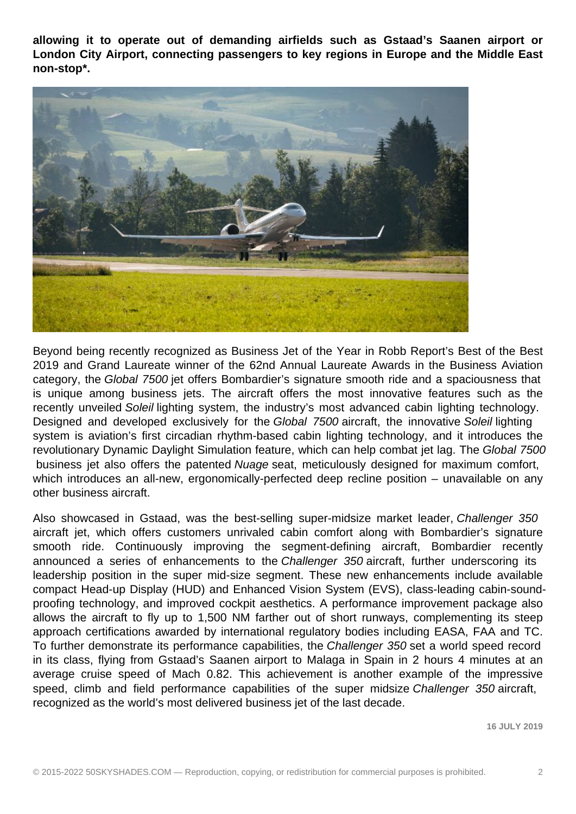**allowing it to operate out of demanding airfields such as Gstaad's Saanen airport or London City Airport, connecting passengers to key regions in Europe and the Middle East non-stop\*.**



Beyond being recently recognized as Business Jet of the Year in Robb Report's Best of the Best 2019 and Grand Laureate winner of the 62nd Annual Laureate Awards in the Business Aviation category, the Global 7500 jet offers Bombardier's signature smooth ride and a spaciousness that is unique among business jets. The aircraft offers the most innovative features such as the recently unveiled Soleil lighting system, the industry's most advanced cabin lighting technology. Designed and developed exclusively for the Global 7500 aircraft, the innovative Soleil lighting system is aviation's first circadian rhythm-based cabin lighting technology, and it introduces the revolutionary Dynamic Daylight Simulation feature, which can help combat jet lag. The Global 7500 business jet also offers the patented Nuage seat, meticulously designed for maximum comfort, which introduces an all-new, ergonomically-perfected deep recline position – unavailable on any other business aircraft.

Also showcased in Gstaad, was the best-selling super-midsize market leader, Challenger 350 aircraft jet, which offers customers unrivaled cabin comfort along with Bombardier's signature smooth ride. Continuously improving the segment-defining aircraft, Bombardier recently announced a series of enhancements to the Challenger 350 aircraft, further underscoring its leadership position in the super mid-size segment. These new enhancements include available compact Head-up Display (HUD) and Enhanced Vision System (EVS), class-leading cabin-soundproofing technology, and improved cockpit aesthetics. A performance improvement package also allows the aircraft to fly up to 1,500 NM farther out of short runways, complementing its steep approach certifications awarded by international regulatory bodies including EASA, FAA and TC. To further demonstrate its performance capabilities, the Challenger 350 set a world speed record in its class, flying from Gstaad's Saanen airport to Malaga in Spain in 2 hours 4 minutes at an average cruise speed of Mach 0.82. This achievement is another example of the impressive speed, climb and field performance capabilities of the super midsize Challenger 350 aircraft, recognized as the world's most delivered business jet of the last decade.

**16 JULY 2019**